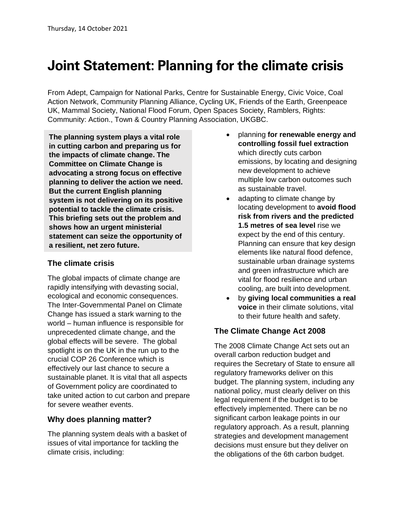# **Joint Statement: Planning for the climate crisis**

From Adept, Campaign for National Parks, Centre for Sustainable Energy, Civic Voice, Coal Action Network, Community Planning Alliance, Cycling UK, Friends of the Earth, Greenpeace UK, Mammal Society, National Flood Forum, Open Spaces Society, Ramblers, Rights: Community: Action., Town & Country Planning Association, UKGBC.

The planning system plays a vital role in **The planning system plays a vital role**  in cutting carbon and preparing us for the impacts of climate change. The **Committee on Climate Change is** advocating a strong focus on effective planning to deliver the action we need. **But the current English planning** system is not delivering on its positive potential to tackle the climate crisis. This briefing sets out the problem and shows how an urgent ministerial statement can seize the opportunity of **a resilient, net zero future.**

#### **The climate crisis**

The global impacts of climate change are rapidly intensifying with devasting social, ecological and economic consequences. The Inter-Governmental Panel on Climate Change has issued a stark warning to the world – human influence is responsible for unprecedented climate change, and the global effects will be severe. The global spotlight is on the UK in the run up to the crucial COP 26 Conference which is effectively our last chance to secure a sustainable planet. It is vital that all aspects of Government policy are coordinated to take united action to cut carbon and prepare for severe weather events.

### **Why does planning matter?**

The planning system deals with a basket of issues of vital importance for tackling the climate crisis, including:

- planning **for renewable energy and controlling fossil fuel extraction** which directly cuts carbon emissions, by locating and designing new development to achieve multiple low carbon outcomes such as sustainable travel.
- adapting to climate change by locating development to **avoid flood risk from rivers and the predicted 1.5 metres of sea level** rise we expect by the end of this century. Planning can ensure that key design elements like natural flood defence, sustainable urban drainage systems and green infrastructure which are vital for flood resilience and urban cooling, are built into development.
- by **giving local communities a real voice** in their climate solutions, vital to their future health and safety.

# **The Climate Change Act 2008**

The 2008 Climate Change Act sets out an overall carbon reduction budget and requires the Secretary of State to ensure all regulatory frameworks deliver on this budget. The planning system, including any national policy, must clearly deliver on this legal requirement if the budget is to be effectively implemented. There can be no significant carbon leakage points in our regulatory approach. As a result, planning strategies and development management decisions must ensure but they deliver on the obligations of the 6th carbon budget.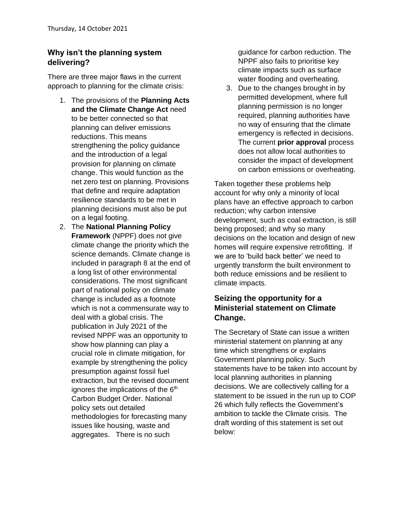## **Why isn't the planning system delivering?**

There are three major flaws in the current approach to planning for the climate crisis:

- 1. The provisions of the **Planning Acts and the Climate Change Act** need to be better connected so that planning can deliver emissions reductions. This means strengthening the policy guidance and the introduction of a legal provision for planning on climate change. This would function as the net zero test on planning. Provisions that define and require adaptation resilience standards to be met in planning decisions must also be put on a legal footing.
- 2. The **National Planning Policy Framework** (NPPF) does not give climate change the priority which the science demands. Climate change is included in paragraph 8 at the end of a long list of other environmental considerations. The most significant part of national policy on climate change is included as a footnote which is not a commensurate way to deal with a global crisis. The publication in July 2021 of the revised NPPF was an opportunity to show how planning can play a crucial role in climate mitigation, for example by strengthening the policy presumption against fossil fuel extraction, but the revised document ignores the implications of the  $6<sup>th</sup>$ Carbon Budget Order. National policy sets out detailed methodologies for forecasting many issues like housing, waste and aggregates. There is no such

guidance for carbon reduction. The NPPF also fails to prioritise key climate impacts such as surface water flooding and overheating.

3. Due to the changes brought in by permitted development, where full planning permission is no longer required, planning authorities have no way of ensuring that the climate emergency is reflected in decisions. The current **prior approval** process does not allow local authorities to consider the impact of development on carbon emissions or overheating.

Taken together these problems help account for why only a minority of local plans have an effective approach to carbon reduction; why carbon intensive development, such as coal extraction, is still being proposed; and why so many decisions on the location and design of new homes will require expensive retrofitting. If we are to 'build back better' we need to urgently transform the built environment to both reduce emissions and be resilient to climate impacts.

### **Seizing the opportunity for a Ministerial statement on Climate Change.**

The Secretary of State can issue a written ministerial statement on planning at any time which strengthens or explains Government planning policy. Such statements have to be taken into account by local planning authorities in planning decisions. We are collectively calling for a statement to be issued in the run up to COP 26 which fully reflects the Government's ambition to tackle the Climate crisis. The draft wording of this statement is set out below: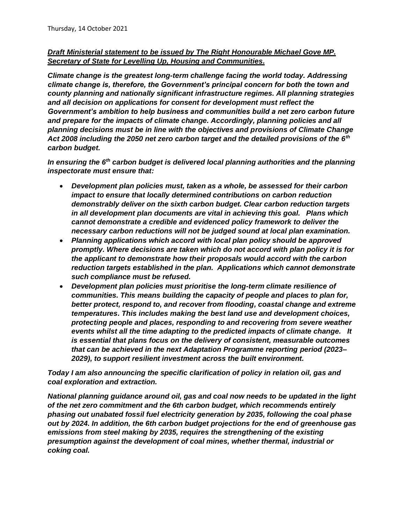#### *Draft Ministerial statement to be issued by The Right Honourable Michael Gove MP. Secretary of State for Levelling Up, Housing and Communities.*

*Climate change is the greatest long-term challenge facing the world today. Addressing climate change is, therefore, the Government's principal concern for both the town and county planning and nationally significant infrastructure regimes. All planning strategies and all decision on applications for consent for development must reflect the Government's ambition to help business and communities build a net zero carbon future and prepare for the impacts of climate change. Accordingly, planning policies and all planning decisions must be in line with the objectives and provisions of Climate Change Act 2008 including the 2050 net zero carbon target and the detailed provisions of the 6th carbon budget.* 

*In ensuring the 6th carbon budget is delivered local planning authorities and the planning inspectorate must ensure that:*

- *Development plan policies must, taken as a whole, be assessed for their carbon impact to ensure that locally determined contributions on carbon reduction demonstrably deliver on the sixth carbon budget. Clear carbon reduction targets in all development plan documents are vital in achieving this goal. Plans which cannot demonstrate a credible and evidenced policy framework to deliver the necessary carbon reductions will not be judged sound at local plan examination.*
- *Planning applications which accord with local plan policy should be approved promptly. Where decisions are taken which do not accord with plan policy it is for the applicant to demonstrate how their proposals would accord with the carbon reduction targets established in the plan. Applications which cannot demonstrate such compliance must be refused.*
- *Development plan policies must prioritise the long-term climate resilience of communities. This means building the capacity of people and places to plan for, better protect, respond to, and recover from flooding, coastal change and extreme temperatures. This includes making the best land use and development choices, protecting people and places, responding to and recovering from severe weather events whilst all the time adapting to the predicted impacts of climate change. It is essential that plans focus on the delivery of consistent, measurable outcomes that can be achieved in the next Adaptation Programme reporting period (2023– 2029), to support resilient investment across the built environment.*

*Today I am also announcing the specific clarification of policy in relation oil, gas and coal exploration and extraction.*

*National planning guidance around oil, gas and coal now needs to be updated in the light of the net zero commitment and the 6th carbon budget, which recommends entirely phasing out unabated fossil fuel electricity generation by 2035, following the coal phase out by 2024. In addition, the 6th carbon budget projections for the end of greenhouse gas emissions from steel making by 2035, requires the strengthening of the existing presumption against the development of coal mines, whether thermal, industrial or coking coal.*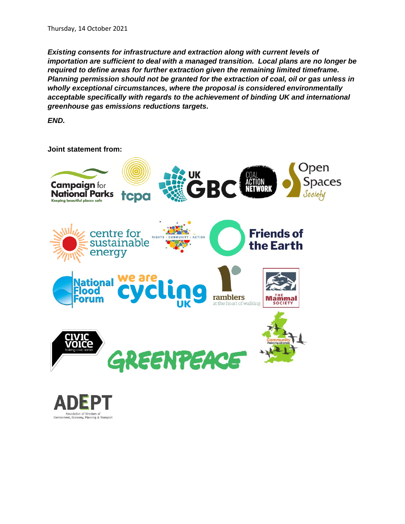*Existing consents for infrastructure and extraction along with current levels of importation are sufficient to deal with a managed transition. Local plans are no longer be required to define areas for further extraction given the remaining limited timeframe. Planning permission should not be granted for the extraction of coal, oil or gas unless in wholly exceptional circumstances, where the proposal is considered environmentally acceptable specifically with regards to the achievement of binding UK and international greenhouse gas emissions reductions targets.*

*END.*

**Joint statement from:**